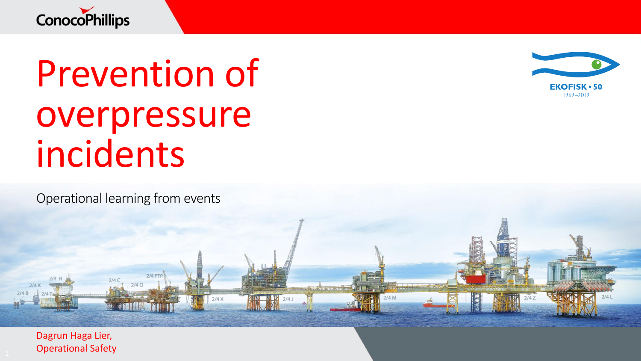

# Prevention of overpressure incidents

 $2/4$  FTF

 $2/4X$ 

 $2/4Q$ 

Operational learning from events



 $2/4M$ 

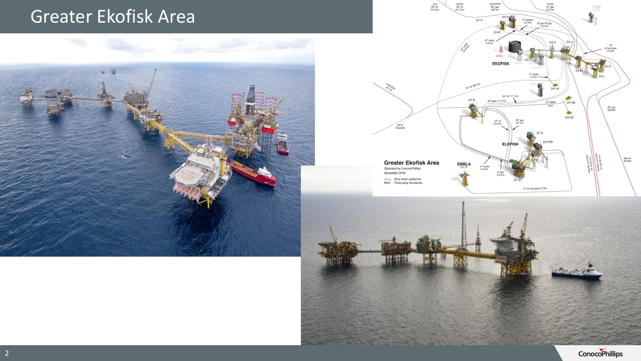#### Greater Ekofisk Area







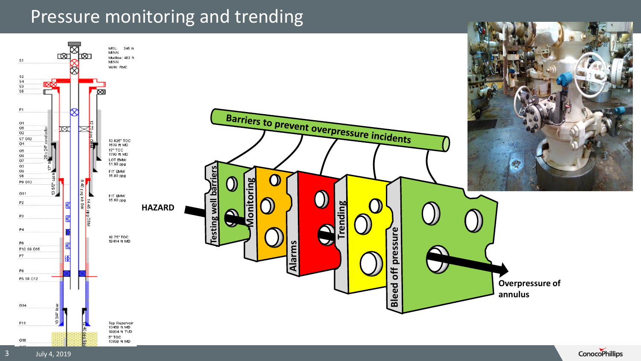#### Pressure monitoring and trending

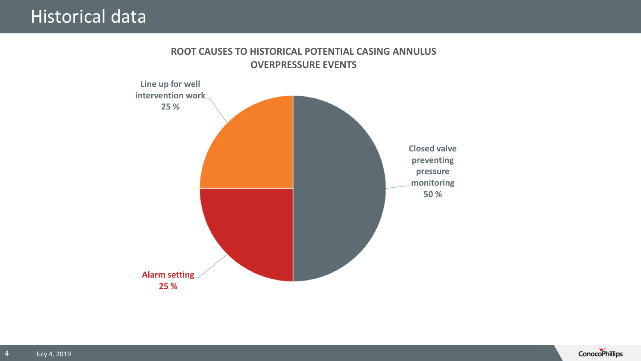#### Historical data

#### **ROOT CAUSES TO HISTORICAL POTENTIAL CASING ANNULUS OVERPRESSURE EVENTS**



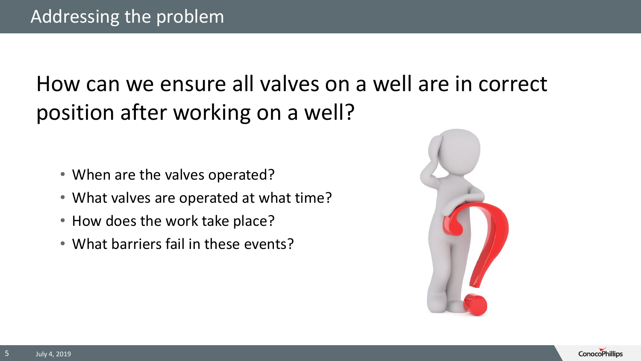## How can we ensure all valves on a well are in correct position after working on a well?

- When are the valves operated?
- What valves are operated at what time?
- How does the work take place?
- What barriers fail in these events?



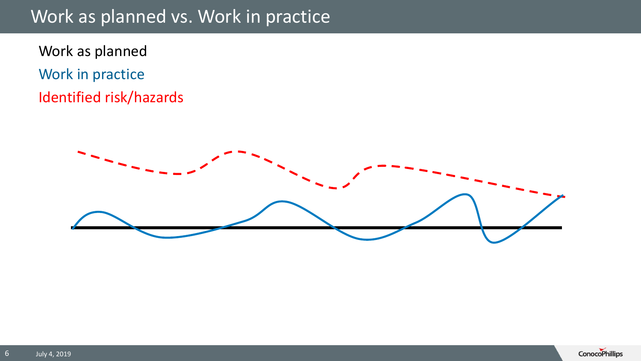#### Work as planned vs. Work in practice

Work as planned Work in practice Identified risk/hazards



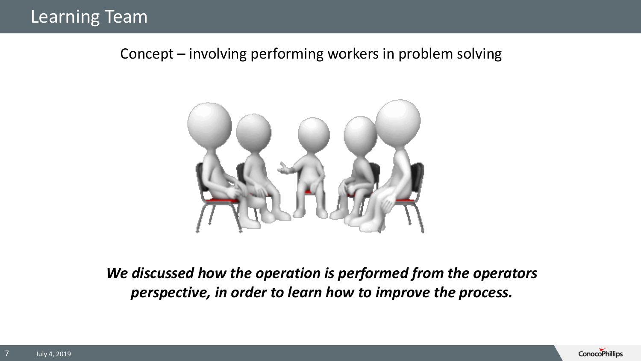Concept – involving performing workers in problem solving



*We discussed how the operation is performed from the operators perspective, in order to learn how to improve the process.*

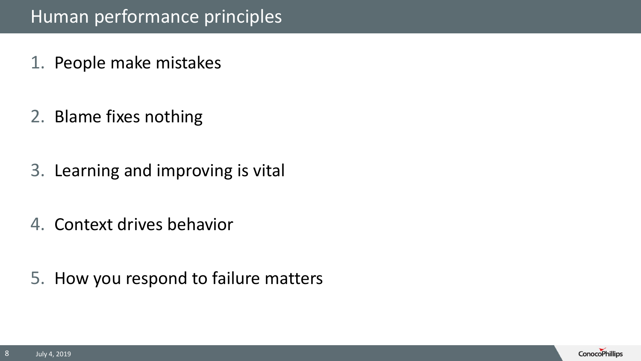#### Human performance principles

- 1. People make mistakes
- 2. Blame fixes nothing
- 3. Learning and improving is vital
- 4. Context drives behavior
- 5. How you respond to failure matters

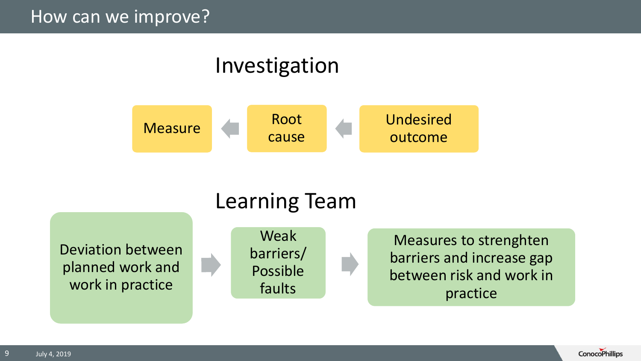#### How can we improve?

### Investigation





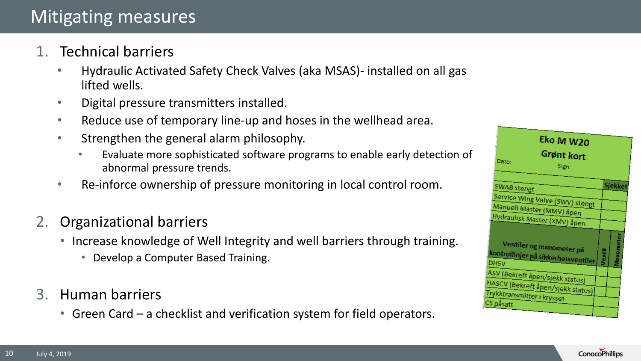- 1. Technical barriers
	- Hydraulic Activated Safety Check Valves (aka MSAS)- installed on all gas lifted wells.
	- Digital pressure transmitters installed.
	- Reduce use of temporary line-up and hoses in the wellhead area.
	- Strengthen the general alarm philosophy.
		- Evaluate more sophisticated software programs to enable early detection of abnormal pressure trends.
	- Re-inforce ownership of pressure monitoring in local control room.
- 2. Organizational barriers
	- Increase knowledge of Well Integrity and well barriers through training.
		- Develop a Computer Based Training.
- 3. Human barriers
	- Green Card a checklist and verification system for field operators.